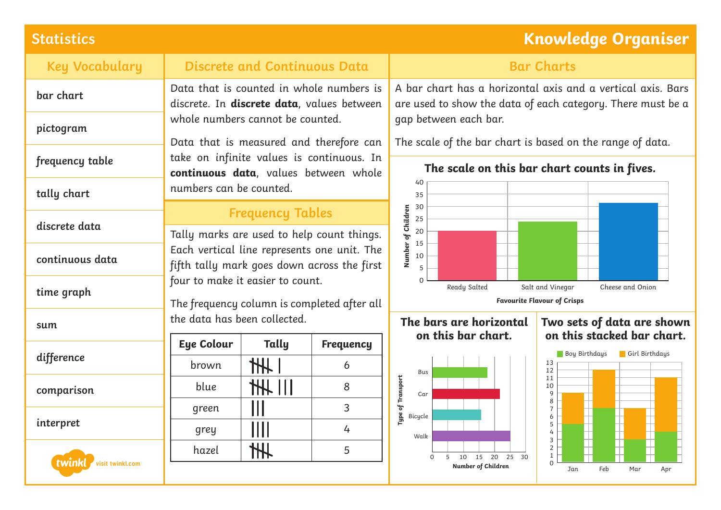# **Statistics Knowledge Organiser**

| <b>Key Vocabulary</b>      | <b>Discrete and Continuous Data</b>                                                                                                                                 |                             |                  | <b>Bar Charts</b>                                                                                                                                                                                                           |                                                                        |
|----------------------------|---------------------------------------------------------------------------------------------------------------------------------------------------------------------|-----------------------------|------------------|-----------------------------------------------------------------------------------------------------------------------------------------------------------------------------------------------------------------------------|------------------------------------------------------------------------|
| bar chart                  | Data that is counted in whole numbers is<br>discrete. In discrete data, values between                                                                              |                             |                  | A bar chart has a horizontal axis and a vertical axis. Bars<br>are used to show the data of each category. There must be a                                                                                                  |                                                                        |
| pictogram                  | whole numbers cannot be counted.<br>Data that is measured and therefore can                                                                                         |                             |                  | gap between each bar.<br>The scale of the bar chart is based on the range of data.                                                                                                                                          |                                                                        |
| frequency table            | take on infinite values is continuous. In<br>continuous data, values between whole                                                                                  |                             |                  | The scale on this bar chart counts in fives.<br>40<br>35<br>30<br>Number of Children<br>25<br>20<br>15<br>10<br>5<br>$\Omega$<br>Ready Salted<br>Salt and Vinegar<br>Cheese and Onion<br><b>Favourite Flavour of Crisps</b> |                                                                        |
| tally chart                | numbers can be counted.                                                                                                                                             |                             |                  |                                                                                                                                                                                                                             |                                                                        |
| discrete data              | <b>Frequency Tables</b><br>Tally marks are used to help count things.<br>Each vertical line represents one unit. The<br>fifth tally mark goes down across the first |                             |                  |                                                                                                                                                                                                                             |                                                                        |
| continuous data            |                                                                                                                                                                     |                             |                  |                                                                                                                                                                                                                             |                                                                        |
| time graph                 | four to make it easier to count.<br>The frequency column is completed after all                                                                                     |                             |                  |                                                                                                                                                                                                                             |                                                                        |
| sum                        | the data has been collected.                                                                                                                                        |                             |                  | The bars are horizontal<br>on this bar chart.                                                                                                                                                                               | Two sets of data are shown<br>on this stacked bar chart.               |
| difference                 | <b>Eye Colour</b>                                                                                                                                                   | Tally                       | <b>Frequency</b> |                                                                                                                                                                                                                             | <b>Boy Birthdays</b><br>Girl Birthdays                                 |
|                            | brown                                                                                                                                                               | H                           | 6                | Bus                                                                                                                                                                                                                         | 13<br>12                                                               |
| comparison                 | blue                                                                                                                                                                | <b>HH III</b>               | 8                | Type of Transport<br>10<br>9<br>Car<br>8<br>$\overline{7}$<br>Bicycle<br>6<br>5<br>4<br>Walk<br>3                                                                                                                           | 11                                                                     |
| interpret                  | green                                                                                                                                                               | Ш                           | 3                |                                                                                                                                                                                                                             |                                                                        |
|                            | grey                                                                                                                                                                | $\mathop{\rm III}\nolimits$ | 4                |                                                                                                                                                                                                                             |                                                                        |
| twinkl<br>visit twinkl.com | hazel                                                                                                                                                               | $\mathcal{H}$               | 5                | 10  15  20  25  30<br>0<br>-5<br>Number of Children                                                                                                                                                                         | $\overline{2}$<br>$\mathbf{1}$<br>$\Omega$<br>Feb<br>Jan<br>Mar<br>Apr |